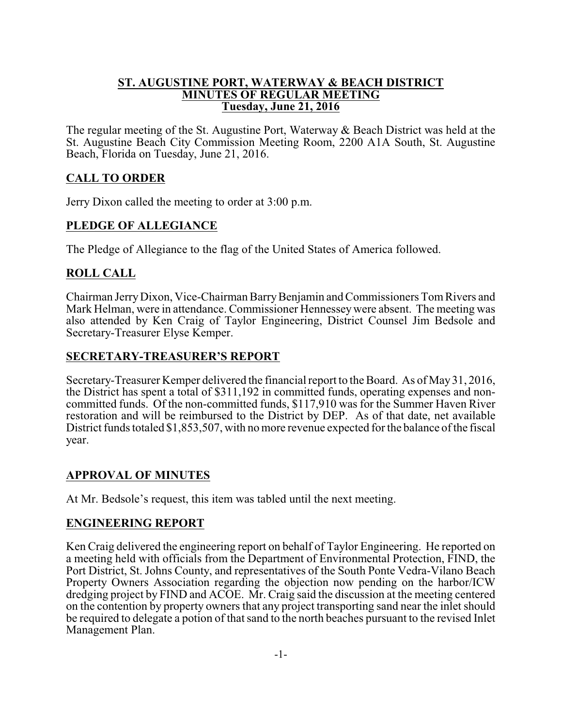#### **ST. AUGUSTINE PORT, WATERWAY & BEACH DISTRICT MINUTES OF REGULAR MEETING Tuesday, June 21, 2016**

The regular meeting of the St. Augustine Port, Waterway & Beach District was held at the St. Augustine Beach City Commission Meeting Room, 2200 A1A South, St. Augustine Beach, Florida on Tuesday, June 21, 2016.

# **CALL TO ORDER**

Jerry Dixon called the meeting to order at 3:00 p.m.

# **PLEDGE OF ALLEGIANCE**

The Pledge of Allegiance to the flag of the United States of America followed.

# **ROLL CALL**

Chairman JerryDixon, Vice-Chairman BarryBenjamin and Commissioners TomRivers and Mark Helman, were in attendance. Commissioner Hennesseywere absent. The meeting was also attended by Ken Craig of Taylor Engineering, District Counsel Jim Bedsole and Secretary-Treasurer Elyse Kemper.

## **SECRETARY-TREASURER'S REPORT**

Secretary-Treasurer Kemper delivered the financial report to the Board. As of May31, 2016, the District has spent a total of \$311,192 in committed funds, operating expenses and noncommitted funds. Of the non-committed funds, \$117,910 was for the Summer Haven River restoration and will be reimbursed to the District by DEP. As of that date, net available District funds totaled \$1,853,507, with no more revenue expected for the balance ofthe fiscal year.

## **APPROVAL OF MINUTES**

At Mr. Bedsole's request, this item was tabled until the next meeting.

## **ENGINEERING REPORT**

Ken Craig delivered the engineering report on behalf of Taylor Engineering. He reported on a meeting held with officials from the Department of Environmental Protection, FIND, the Port District, St. Johns County, and representatives of the South Ponte Vedra-Vilano Beach Property Owners Association regarding the objection now pending on the harbor/ICW dredging project by FIND and ACOE. Mr. Craig said the discussion at the meeting centered on the contention by property owners that any project transporting sand near the inlet should be required to delegate a potion of that sand to the north beaches pursuant to the revised Inlet Management Plan.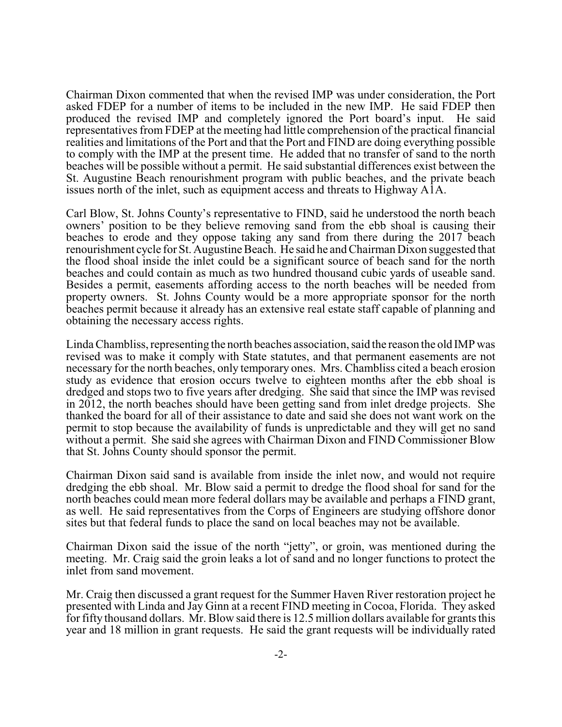Chairman Dixon commented that when the revised IMP was under consideration, the Port asked FDEP for a number of items to be included in the new IMP. He said FDEP then produced the revised IMP and completely ignored the Port board's input. He said representatives from FDEP at the meeting had little comprehension of the practical financial realities and limitations of the Port and that the Port and FIND are doing everything possible to comply with the IMP at the present time. He added that no transfer of sand to the north beaches will be possible without a permit. He said substantial differences exist between the St. Augustine Beach renourishment program with public beaches, and the private beach issues north of the inlet, such as equipment access and threats to Highway A1A.

Carl Blow, St. Johns County's representative to FIND, said he understood the north beach owners' position to be they believe removing sand from the ebb shoal is causing their beaches to erode and they oppose taking any sand from there during the 2017 beach renourishment cycle for St. Augustine Beach. He said he and Chairman Dixon suggested that the flood shoal inside the inlet could be a significant source of beach sand for the north beaches and could contain as much as two hundred thousand cubic yards of useable sand. Besides a permit, easements affording access to the north beaches will be needed from property owners. St. Johns County would be a more appropriate sponsor for the north beaches permit because it already has an extensive real estate staff capable of planning and obtaining the necessary access rights.

Linda Chambliss, representing the north beaches association, said the reason the old IMP was revised was to make it comply with State statutes, and that permanent easements are not necessary for the north beaches, only temporary ones. Mrs. Chambliss cited a beach erosion study as evidence that erosion occurs twelve to eighteen months after the ebb shoal is dredged and stops two to five years after dredging. She said that since the IMP was revised in 2012, the north beaches should have been getting sand from inlet dredge projects. She thanked the board for all of their assistance to date and said she does not want work on the permit to stop because the availability of funds is unpredictable and they will get no sand without a permit. She said she agrees with Chairman Dixon and FIND Commissioner Blow that St. Johns County should sponsor the permit.

Chairman Dixon said sand is available from inside the inlet now, and would not require dredging the ebb shoal. Mr. Blow said a permit to dredge the flood shoal for sand for the north beaches could mean more federal dollars may be available and perhaps a FIND grant, as well. He said representatives from the Corps of Engineers are studying offshore donor sites but that federal funds to place the sand on local beaches may not be available.

Chairman Dixon said the issue of the north "jetty", or groin, was mentioned during the meeting. Mr. Craig said the groin leaks a lot of sand and no longer functions to protect the inlet from sand movement.

Mr. Craig then discussed a grant request for the Summer Haven River restoration project he presented with Linda and Jay Ginn at a recent FIND meeting in Cocoa, Florida. They asked for fifty thousand dollars. Mr. Blow said there is 12.5 million dollars available for grants this year and 18 million in grant requests. He said the grant requests will be individually rated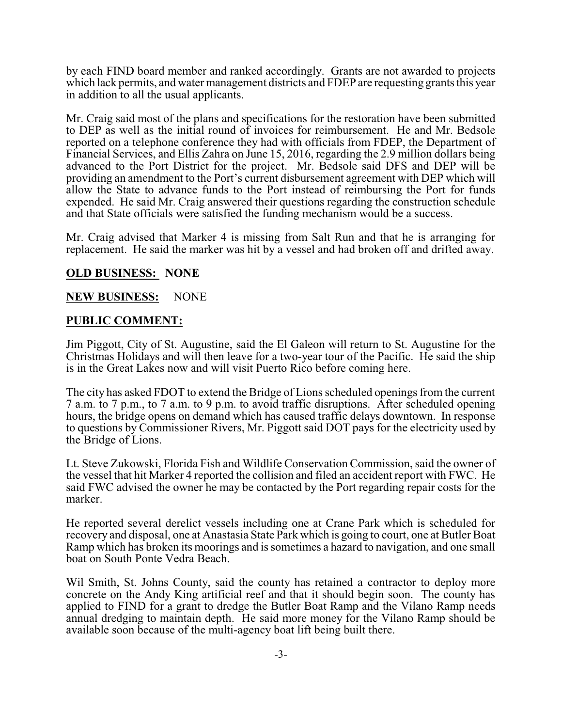by each FIND board member and ranked accordingly. Grants are not awarded to projects which lack permits, and water management districts and FDEP are requesting grants this year in addition to all the usual applicants.

Mr. Craig said most of the plans and specifications for the restoration have been submitted to DEP as well as the initial round of invoices for reimbursement. He and Mr. Bedsole reported on a telephone conference they had with officials from FDEP, the Department of Financial Services, and Ellis Zahra on June 15, 2016, regarding the 2.9 million dollars being advanced to the Port District for the project. Mr. Bedsole said DFS and DEP will be providing an amendment to the Port's current disbursement agreement with DEP which will allow the State to advance funds to the Port instead of reimbursing the Port for funds expended. He said Mr. Craig answered their questions regarding the construction schedule and that State officials were satisfied the funding mechanism would be a success.

Mr. Craig advised that Marker 4 is missing from Salt Run and that he is arranging for replacement. He said the marker was hit by a vessel and had broken off and drifted away.

#### **OLD BUSINESS: NONE**

#### **NEW BUSINESS:** NONE

#### **PUBLIC COMMENT:**

Jim Piggott, City of St. Augustine, said the El Galeon will return to St. Augustine for the Christmas Holidays and will then leave for a two-year tour of the Pacific. He said the ship is in the Great Lakes now and will visit Puerto Rico before coming here.

The city has asked FDOT to extend the Bridge of Lions scheduled openings from the current 7 a.m. to 7 p.m., to 7 a.m. to 9 p.m. to avoid traffic disruptions. After scheduled opening hours, the bridge opens on demand which has caused traffic delays downtown. In response to questions by Commissioner Rivers, Mr. Piggott said DOT pays for the electricity used by the Bridge of Lions.

Lt. Steve Zukowski, Florida Fish and Wildlife Conservation Commission, said the owner of the vessel that hit Marker 4 reported the collision and filed an accident report with FWC. He said FWC advised the owner he may be contacted by the Port regarding repair costs for the marker.

He reported several derelict vessels including one at Crane Park which is scheduled for recovery and disposal, one at Anastasia State Park which is going to court, one at Butler Boat Ramp which has broken its moorings and is sometimes a hazard to navigation, and one small boat on South Ponte Vedra Beach.

Wil Smith, St. Johns County, said the county has retained a contractor to deploy more concrete on the Andy King artificial reef and that it should begin soon. The county has applied to FIND for a grant to dredge the Butler Boat Ramp and the Vilano Ramp needs annual dredging to maintain depth. He said more money for the Vilano Ramp should be available soon because of the multi-agency boat lift being built there.